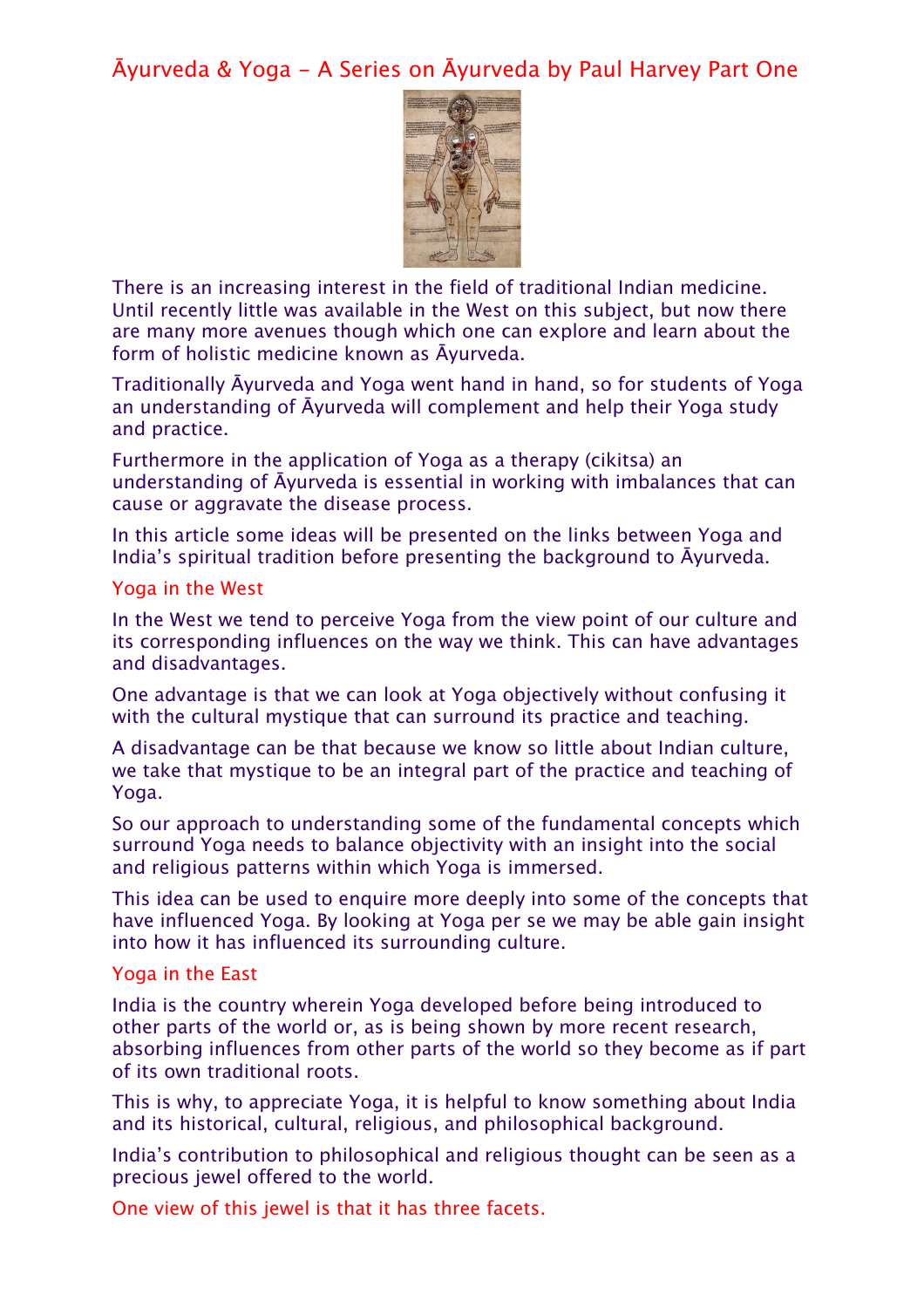Āyurveda & Yoga - A Series on Āyurveda by Paul Harvey Part One



There is an increasing interest in the field of traditional Indian medicine. Until recently little was available in the West on this subject, but now there are many more avenues though which one can explore and learn about the form of holistic medicine known as Āyurveda.

Traditionally Āyurveda and Yoga went hand in hand, so for students of Yoga an understanding of Āyurveda will complement and help their Yoga study and practice.

Furthermore in the application of Yoga as a therapy (cikitsa) an understanding of Āyurveda is essential in working with imbalances that can cause or aggravate the disease process.

In this article some ideas will be presented on the links between Yoga and India's spiritual tradition before presenting the background to Āyurveda.

### Yoga in the West

In the West we tend to perceive Yoga from the view point of our culture and its corresponding influences on the way we think. This can have advantages and disadvantages.

One advantage is that we can look at Yoga objectively without confusing it with the cultural mystique that can surround its practice and teaching.

A disadvantage can be that because we know so little about Indian culture, we take that mystique to be an integral part of the practice and teaching of Yoga.

So our approach to understanding some of the fundamental concepts which surround Yoga needs to balance objectivity with an insight into the social and religious patterns within which Yoga is immersed.

This idea can be used to enquire more deeply into some of the concepts that have influenced Yoga. By looking at Yoga per se we may be able gain insight into how it has influenced its surrounding culture.

#### Yoga in the East

India is the country wherein Yoga developed before being introduced to other parts of the world or, as is being shown by more recent research, absorbing influences from other parts of the world so they become as if part of its own traditional roots.

This is why, to appreciate Yoga, it is helpful to know something about India and its historical, cultural, religious, and philosophical background.

India's contribution to philosophical and religious thought can be seen as a precious jewel offered to the world.

One view of this jewel is that it has three facets.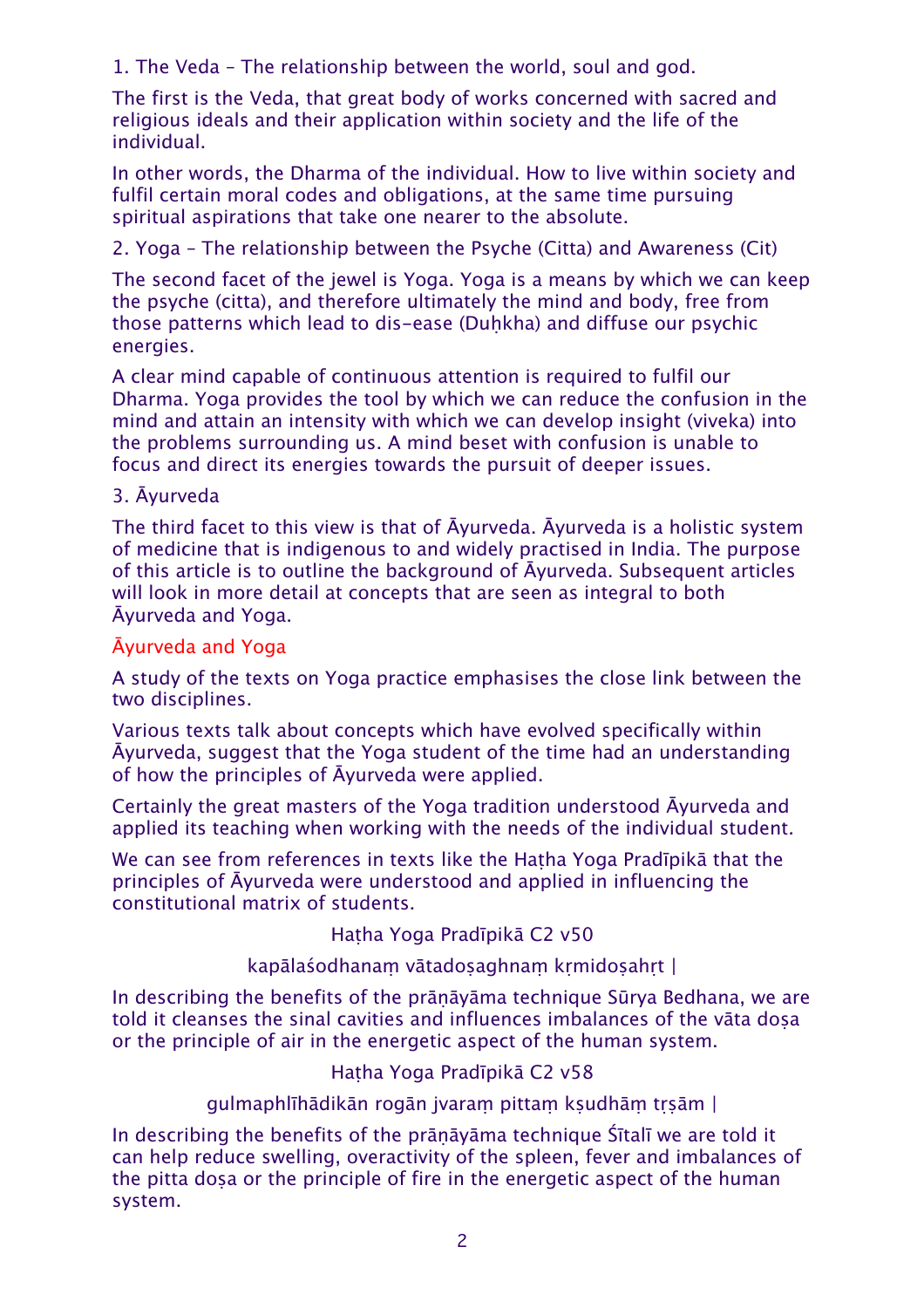1. The Veda – The relationship between the world, soul and god.

The first is the Veda, that great body of works concerned with sacred and religious ideals and their application within society and the life of the individual.

In other words, the Dharma of the individual. How to live within society and fulfil certain moral codes and obligations, at the same time pursuing spiritual aspirations that take one nearer to the absolute.

2. Yoga – The relationship between the Psyche (Citta) and Awareness (Cit)

The second facet of the jewel is Yoga. Yoga is a means by which we can keep the psyche (citta), and therefore ultimately the mind and body, free from those patterns which lead to dis-ease (Duhkha) and diffuse our psychic energies.

A clear mind capable of continuous attention is required to fulfil our Dharma. Yoga provides the tool by which we can reduce the confusion in the mind and attain an intensity with which we can develop insight (viveka) into the problems surrounding us. A mind beset with confusion is unable to focus and direct its energies towards the pursuit of deeper issues.

# 3. Āyurveda

The third facet to this view is that of Āyurveda. Āyurveda is a holistic system of medicine that is indigenous to and widely practised in India. The purpose of this article is to outline the background of Āyurveda. Subsequent articles will look in more detail at concepts that are seen as integral to both Āyurveda and Yoga.

# Āyurveda and Yoga

A study of the texts on Yoga practice emphasises the close link between the two disciplines.

Various texts talk about concepts which have evolved specifically within Āyurveda, suggest that the Yoga student of the time had an understanding of how the principles of Āyurveda were applied.

Certainly the great masters of the Yoga tradition understood Āyurveda and applied its teaching when working with the needs of the individual student.

We can see from references in texts like the Hatha Yoga Pradīpikā that the principles of Āyurveda were understood and applied in influencing the constitutional matrix of students.

Haṭha Yoga Pradīpikā C2 v50

# kapālaśodhanaṃ vātadoṣaghnaṃ kṛmidoṣahṛt |

In describing the benefits of the prāṇāyāma technique Sūrya Bedhana, we are told it cleanses the sinal cavities and influences imbalances of the vāta doṣa or the principle of air in the energetic aspect of the human system.

Haṭha Yoga Pradīpikā C2 v58

gulmaphlīhādikān rogān jvaraṃ pittaṃ kṣudhāṃ tṛṣām |

In describing the benefits of the prāṇāyāma technique Śītalī we are told it can help reduce swelling, overactivity of the spleen, fever and imbalances of the pitta dosa or the principle of fire in the energetic aspect of the human system.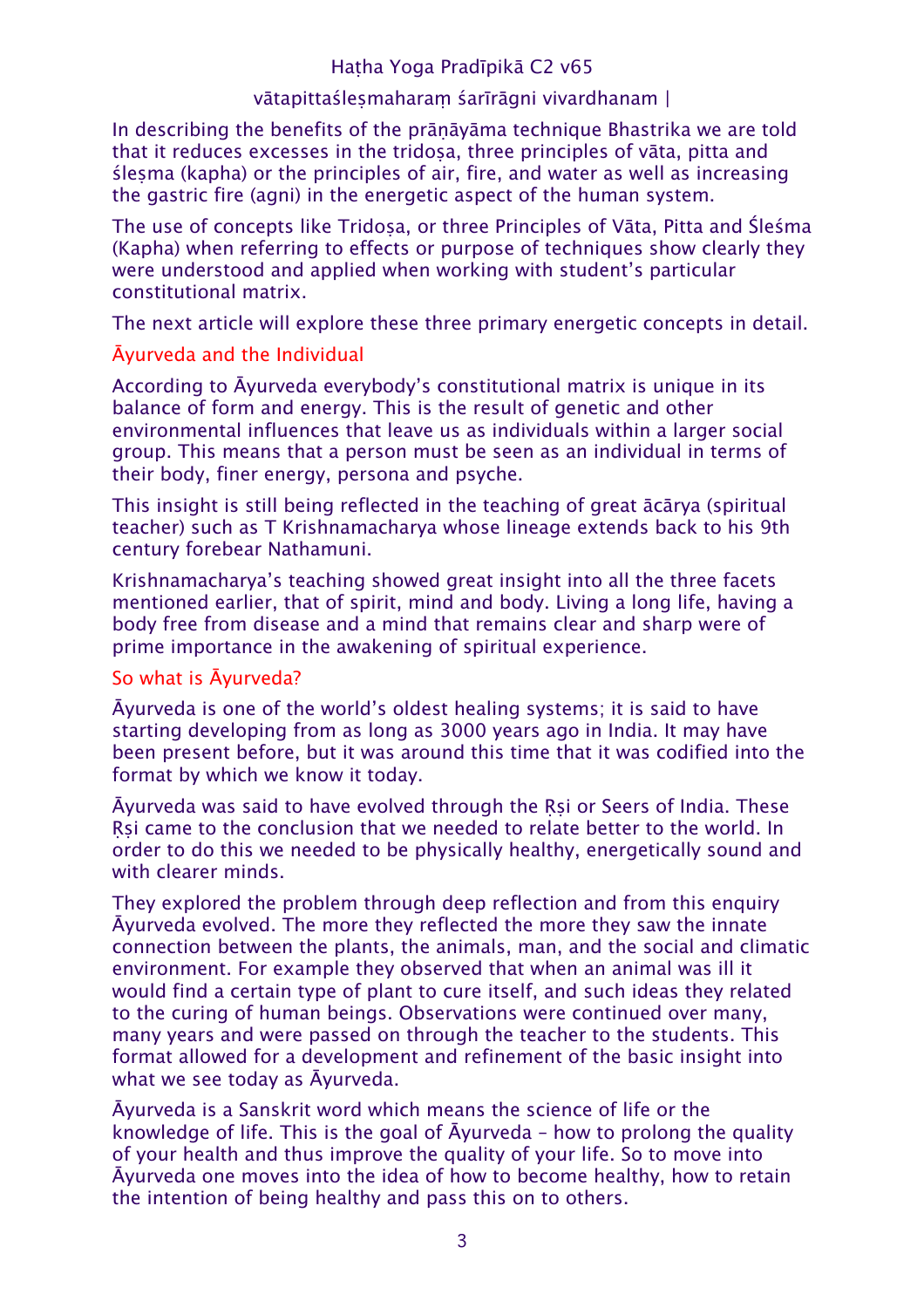## Haṭha Yoga Pradīpikā C2 v65

## vātapittaślesmaharam śarīrāgni vivardhanam |

In describing the benefits of the prāṇāyāma technique Bhastrika we are told that it reduces excesses in the tridosa, three principles of vāta, pitta and śleṣma (kapha) or the principles of air, fire, and water as well as increasing the gastric fire (agni) in the energetic aspect of the human system.

The use of concepts like Tridosa, or three Principles of Vāta, Pitta and Śleśma (Kapha) when referring to effects or purpose of techniques show clearly they were understood and applied when working with student's particular constitutional matrix.

The next article will explore these three primary energetic concepts in detail.

## Āyurveda and the Individual

According to Āyurveda everybody's constitutional matrix is unique in its balance of form and energy. This is the result of genetic and other environmental influences that leave us as individuals within a larger social group. This means that a person must be seen as an individual in terms of their body, finer energy, persona and psyche.

This insight is still being reflected in the teaching of great ācārya (spiritual teacher) such as T Krishnamacharya whose lineage extends back to his 9th century forebear Nathamuni.

Krishnamacharya's teaching showed great insight into all the three facets mentioned earlier, that of spirit, mind and body. Living a long life, having a body free from disease and a mind that remains clear and sharp were of prime importance in the awakening of spiritual experience.

# So what is Āyurveda?

Āyurveda is one of the world's oldest healing systems; it is said to have starting developing from as long as 3000 years ago in India. It may have been present before, but it was around this time that it was codified into the format by which we know it today.

Āyurveda was said to have evolved through the Ṛṣi or Seers of India. These Rsi came to the conclusion that we needed to relate better to the world. In order to do this we needed to be physically healthy, energetically sound and with clearer minds.

They explored the problem through deep reflection and from this enquiry Āyurveda evolved. The more they reflected the more they saw the innate connection between the plants, the animals, man, and the social and climatic environment. For example they observed that when an animal was ill it would find a certain type of plant to cure itself, and such ideas they related to the curing of human beings. Observations were continued over many, many years and were passed on through the teacher to the students. This format allowed for a development and refinement of the basic insight into what we see today as Āyurveda.

Āyurveda is a Sanskrit word which means the science of life or the knowledge of life. This is the goal of Āyurveda – how to prolong the quality of your health and thus improve the quality of your life. So to move into Āyurveda one moves into the idea of how to become healthy, how to retain the intention of being healthy and pass this on to others.